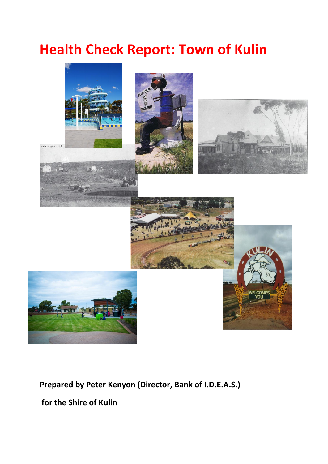# **Health Check Report: Town of Kulin**



# **Prepared by Peter Kenyon (Director, Bank of I.D.E.A.S.)**

**for the Shire of Kulin**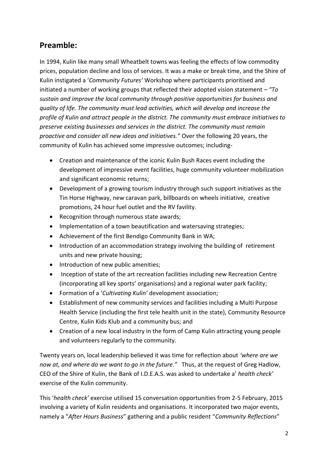# **Preamble:**

In 1994, Kulin like many small Wheatbelt towns was feeling the effects of low commodity prices, population decline and loss of services. It was a make or break time, and the Shire of Kulin instigated a '*Community Futures'* Workshop where participants prioritised and initiated a number of working groups that reflected their adopted vision statement – *"To sustain and improve the local community through positive opportunities for business and quality of life. The community must lead activities, which will develop and increase the profile of Kulin and attract people in the district. The community must embrace initiatives to preserve existing businesses and services in the district. The community must remain proactive and consider all new ideas and initiatives."* Over the following 20 years, the community of Kulin has achieved some impressive outcomes; including-

- Creation and maintenance of the iconic Kulin Bush Races event including the development of impressive event facilities, huge community volunteer mobilization and significant economic returns;
- Development of a growing tourism industry through such support initiatives as the Tin Horse Highway, new caravan park, billboards on wheels initiative, creative promotions, 24 hour fuel outlet and the RV favility.
- Recognition through numerous state awards;
- Implementation of a town beautification and watersaving strategies;
- Achievement of the first Bendigo Community Bank in WA;
- Introduction of an accommodation strategy involving the building of retirement units and new private housing;
- Introduction of new public amenities;
- Inception of state of the art recreation facilities including new Recreation Centre (incorporating all key sports' organisations) and a regional water park facility;
- Formation of a '*Cultivating Kulin'* development association;
- Establishment of new community services and facilities including a Multi Purpose Health Service (including the first tele health unit in the state), Community Resource Centre, Kulin Kids Klub and a community bus; and
- Creation of a new local industry in the form of Camp Kulin attracting young people and volunteers regularly to the community.

Twenty years on, local leadership believed it was time for reflection about *'where are we now at, and where do we want to go in the future."* Thus, at the request of Greg Hadlow, CEO of the Shire of Kulin, the Bank of I.D.E.A.S. was asked to undertake a' *health check'* exercise of the Kulin community.

This '*health check'* exercise utilised 15 conversation opportunities from 2-5 February, 2015 involving a variety of Kulin residents and organisations. It incorporated two major events, namely a "*After Hours Business*" gathering and a public resident "*Community Reflections*"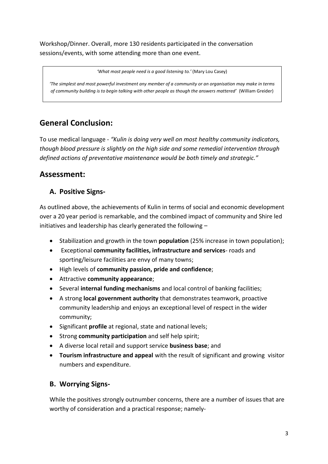Workshop/Dinner. Overall, more 130 residents participated in the conversation sessions/events, with some attending more than one event.

*'What most people need is a good listening to.'* (Mary Lou Casey)

*'The simplest and most powerful investment any member of a community or an organisation may make in terms of community building is to begin talking with other people as though the answers mattered'* (William Greider)

# **General Conclusion:**

To use medical language - *"Kulin is doing very well on most healthy community indicators, though blood pressure is slightly on the high side and some remedial intervention through defined actions of preventative maintenance would be both timely and strategic."*

# **Assessment:**

# **A. Positive Signs-**

As outlined above, the achievements of Kulin in terms of social and economic development over a 20 year period is remarkable, and the combined impact of community and Shire led initiatives and leadership has clearly generated the following –

- Stabilization and growth in the town **population** (25% increase in town population);
- Exceptional **community facilities, infrastructure and services** roads and sporting/leisure facilities are envy of many towns;
- High levels of **community passion, pride and confidence**;
- Attractive **community appearance**;
- Several **internal funding mechanisms** and local control of banking facilities;
- A strong **local government authority** that demonstrates teamwork, proactive community leadership and enjoys an exceptional level of respect in the wider community;
- Significant **profile** at regional, state and national levels;
- Strong **community participation** and self help spirit;
- A diverse local retail and support service **business base**; and
- **Tourism infrastructure and appeal** with the result of significant and growing visitor numbers and expenditure.

# **B. Worrying Signs-**

While the positives strongly outnumber concerns, there are a number of issues that are worthy of consideration and a practical response; namely-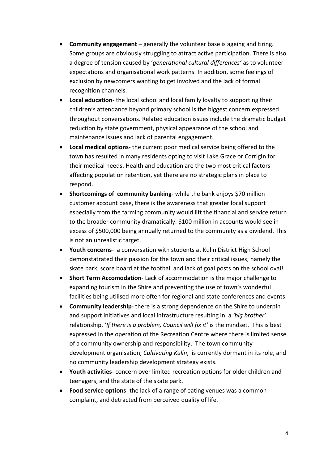- **Community engagement** generally the volunteer base is ageing and tiring. Some groups are obviously struggling to attract active participation. There is also a degree of tension caused by '*generational cultural differences'* as to volunteer expectations and organisational work patterns. In addition, some feelings of exclusion by newcomers wanting to get involved and the lack of formal recognition channels.
- **Local education** the local school and local family loyalty to supporting their children's attendance beyond primary school is the biggest concern expressed throughout conversations. Related education issues include the dramatic budget reduction by state government, physical appearance of the school and maintenance issues and lack of parental engagement.
- **Local medical options** the current poor medical service being offered to the town has resulted in many residents opting to visit Lake Grace or Corrigin for their medical needs. Health and education are the two most critical factors affecting population retention, yet there are no strategic plans in place to respond.
- **Shortcomings of community banking** while the bank enjoys \$70 million customer account base, there is the awareness that greater local support especially from the farming community would lift the financial and service return to the broader community dramatically. \$100 million in accounts would see in excess of \$500,000 being annually returned to the community as a dividend. This is not an unrealistic target.
- **Youth concerns** a conversation with students at Kulin District High School demonstatrated their passion for the town and their critical issues; namely the skate park, score board at the football and lack of goal posts on the school oval!
- **Short Term Accomodation** Lack of accommodation is the major challenge to expanding tourism in the Shire and preventing the use of town's wonderful facilities being utilised more often for regional and state conferences and events.
- **Community leadership** there is a strong dependence on the Shire to underpin and support initiatives and local infrastructure resulting in a *'big brother'* relationship. '*If there is a problem, Council will fix it'* is the mindset. This is best expressed in the operation of the Recreation Centre where there is limited sense of a community ownership and responsibility. The town community development organisation, *Cultivating Kulin*, is currently dormant in its role, and no community leadership development strategy exists.
- **Youth activities** concern over limited recreation options for older children and teenagers, and the state of the skate park.
- **Food service options** the lack of a range of eating venues was a common complaint, and detracted from perceived quality of life.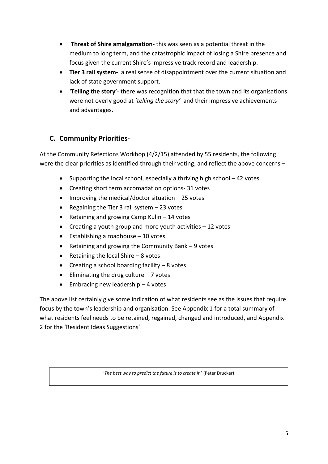- **Threat of Shire amalgamation-** this was seen as a potential threat in the medium to long term, and the catastrophic impact of losing a Shire presence and focus given the current Shire's impressive track record and leadership.
- **Tier 3 rail system-** a real sense of disappointment over the current situation and lack of state government support.
- '**Telling the story'** there was recognition that that the town and its organisations were not overly good at '*telling the story'* and their impressive achievements and advantages.

## **C. Community Priorities-**

At the Community Refections Workhop (4/2/15) attended by 55 residents, the following were the clear priorities as identified through their voting, and reflect the above concerns -

- Supporting the local school, especially a thriving high school  $-42$  votes
- Creating short term accomadation options- 31 votes
- $\bullet$  Improving the medical/doctor situation  $-25$  votes
- Regaining the Tier 3 rail system  $-23$  votes
- Retaining and growing Camp Kulin 14 votes
- Creating a youth group and more youth activities  $-12$  votes
- $\bullet$  Establishing a roadhouse  $-10$  votes
- Retaining and growing the Community Bank 9 votes
- Retaining the local Shire  $-8$  votes
- $\bullet$  Creating a school boarding facility 8 votes
- $\bullet$  Eliminating the drug culture  $-7$  votes
- $\bullet$  Embracing new leadership  $-4$  votes

The above list certainly give some indication of what residents see as the issues that require focus by the town's leadership and organisation. See Appendix 1 for a total summary of what residents feel needs to be retained, regained, changed and introduced, and Appendix 2 for the 'Resident Ideas Suggestions'.

'*The best way to predict the future is to create it.*' (Peter Drucker)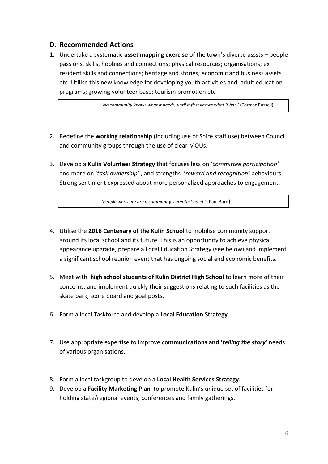#### **D. Recommended Actions-**

1. Undertake a systematic **asset mapping exercise** of the town's diverse asssts – people passions, skills, hobbies and connections; physical resources; organisations; ex resident skills and connections; heritage and stories; economic and business assets etc. Utilise this new knowledge for developing youth activities and adult education programs; growing volunteer base; tourism promotion etc

 *'No community knows what it needs, until it first knows what it has.'* (Cormac Russell)

- 2. Redefine the **working relationship** (including use of Shire staff use) between Council and community groups through the use of clear MOUs.
- 3. Develop a **Kulin Volunteer Strategy** that focuses less on '*committee participation'* and more on '*task ownership'* , and strengths '*reward and recognition'* behaviours. Strong sentiment expressed about more personalized approaches to engagement.

 *'People who care are a community's greatest asset.'* (Paul Born)

- 4. Utilise the **2016 Centenary of the Kulin School** to mobilise community support around its local school and its future. This is an opportunity to achieve physical appearance upgrade, prepare a Local Education Strategy (see below) and implement a significant school reunion event that has ongoing social and economic benefits.
- 5. Meet with **high school students of Kulin District High School** to learn more of their concerns, and implement quickly their suggestions relating to such facilities as the skate park, score board and goal posts.
- 6. Form a local Taskforce and develop a **Local Education Strategy**.
- 7. Use appropriate expertise to improve **communications and '***telling the story'* needs of various organisations.
- 8. Form a local taskgroup to develop a **Local Health Services Strategy**.
- 9. Develop a **Facility Marketing Plan** to promote Kulin's unique set of facilities for holding state/regional events, conferences and family gatherings.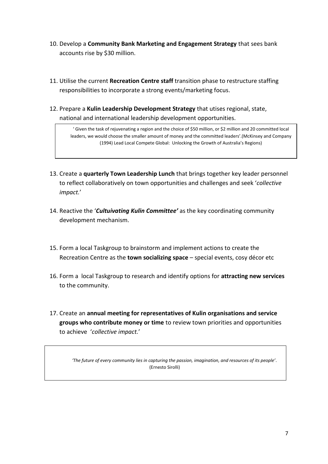- 10. Develop a **Community Bank Marketing and Engagement Strategy** that sees bank accounts rise by \$30 million.
- 11. Utilise the current **Recreation Centre staff** transition phase to restructure staffing responsibilities to incorporate a strong events/marketing focus.
- 12. Prepare a **Kulin Leadership Development Strategy** that utises regional, state, national and international leadership development opportunities.

' Given the task of rejuvenating a region and the choice of \$50 million, or \$2 million and 20 committed local leaders, we would choose the smaller amount of money and the committed leaders'.(McKinsey and Company (1994) Lead Local Compete Global: Unlocking the Growth of Australia's Regions)

- 13. Create a **quarterly Town Leadership Lunch** that brings together key leader personnel to reflect collaboratively on town opportunities and challenges and seek '*collective impact.*'
- 14. Reactive the '*Cultuivating Kulin Committee'* as the key coordinating community development mechanism.
- 15. Form a local Taskgroup to brainstorm and implement actions to create the Recreation Centre as the **town socializing space** – special events, cosy décor etc
- 16. Form a local Taskgroup to research and identify options for **attracting new services** to the community.
- 17. Create an **annual meeting for representatives of Kulin organisations and service groups who contribute money or time** to review town priorities and opportunities to achieve '*collective impact.*'

 *'The future of every community lies in capturing the passion, imagination, and resources of its people'*. (Ernesto Sirolli)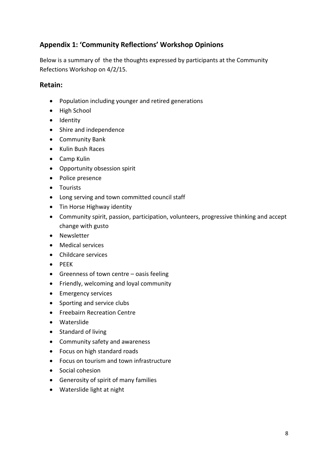# **Appendix 1: 'Community Reflections' Workshop Opinions**

Below is a summary of the the thoughts expressed by participants at the Community Refections Workshop on 4/2/15.

#### **Retain:**

- Population including younger and retired generations
- High School
- Identity
- Shire and independence
- Community Bank
- Kulin Bush Races
- Camp Kulin
- Opportunity obsession spirit
- Police presence
- **•** Tourists
- Long serving and town committed council staff
- Tin Horse Highway identity
- Community spirit, passion, participation, volunteers, progressive thinking and accept change with gusto
- Newsletter
- Medical services
- Childcare services
- $\bullet$  PEEK
- Greenness of town centre oasis feeling
- Friendly, welcoming and loyal community
- **•** Emergency services
- Sporting and service clubs
- **•** Freebairn Recreation Centre
- Waterslide
- Standard of living
- Community safety and awareness
- Focus on high standard roads
- Focus on tourism and town infrastructure
- Social cohesion
- Generosity of spirit of many families
- Waterslide light at night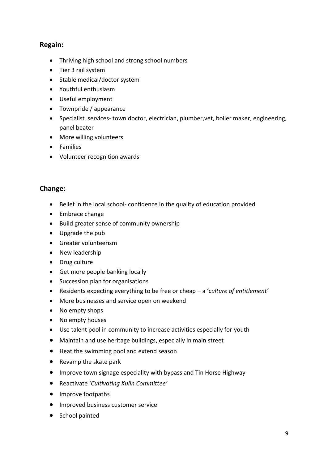### **Regain:**

- Thriving high school and strong school numbers
- Tier 3 rail system
- Stable medical/doctor system
- Youthful enthusiasm
- Useful employment
- Townpride / appearance
- Specialist services- town doctor, electrician, plumber,vet, boiler maker, engineering, panel beater
- More willing volunteers
- Families
- Volunteer recognition awards

#### **Change:**

- Belief in the local school- confidence in the quality of education provided
- Embrace change
- Build greater sense of community ownership
- Upgrade the pub
- Greater volunteerism
- New leadership
- Drug culture
- Get more people banking locally
- Succession plan for organisations
- Residents expecting everything to be free or cheap a '*culture of entitlement'*
- More businesses and service open on weekend
- No empty shops
- No empty houses
- Use talent pool in community to increase activities especially for youth
- Maintain and use heritage buildings, especially in main street
- Heat the swimming pool and extend season
- Revamp the skate park
- Improve town signage especiallty with bypass and Tin Horse Highway
- Reactivate '*Cultivating Kulin Committee'*
- Improve footpaths
- **•** Improved business customer service
- School painted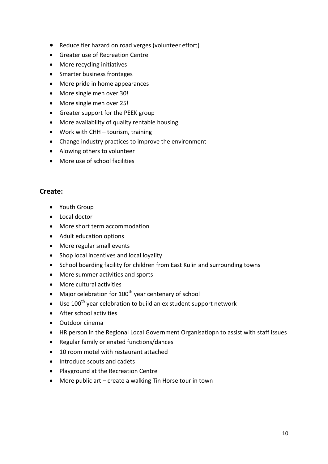- Reduce fier hazard on road verges (volunteer effort)
- Greater use of Recreation Centre
- More recycling initiatives
- Smarter business frontages
- More pride in home appearances
- More single men over 30!
- More single men over 25!
- Greater support for the PEEK group
- More availability of quality rentable housing
- Work with CHH tourism, training
- Change industry practices to improve the environment
- Alowing others to volunteer
- More use of school facilities

#### **Create:**

- Youth Group
- Local doctor
- More short term accommodation
- Adult education options
- More regular small events
- Shop local incentives and local loyality
- School boarding facility for children from East Kulin and surrounding towns
- More summer activities and sports
- More cultural activities
- $\bullet$  Major celebration for 100<sup>th</sup> year centenary of school
- $\bullet$  Use 100<sup>th</sup> year celebration to build an ex student support network
- After school activities
- Outdoor cinema
- HR person in the Regional Local Government Organisatiopn to assist with staff issues
- Regular family orienated functions/dances
- 10 room motel with restaurant attached
- Introduce scouts and cadets
- Playground at the Recreation Centre
- More public art create a walking Tin Horse tour in town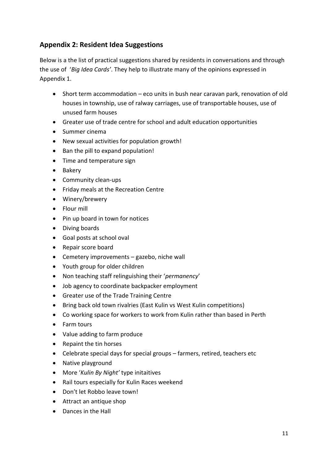## **Appendix 2: Resident Idea Suggestions**

Below is a the list of practical suggestions shared by residents in conversations and through the use of '*Big Idea Cards'*. They help to illustrate many of the opinions expressed in Appendix 1.

- Short term accommodation eco units in bush near caravan park, renovation of old houses in township, use of ralway carriages, use of transportable houses, use of unused farm houses
- Greater use of trade centre for school and adult education opportunities
- Summer cinema
- New sexual activities for population growth!
- Ban the pill to expand population!
- Time and temperature sign
- Bakery
- Community clean-ups
- Friday meals at the Recreation Centre
- Winery/brewery
- Flour mill
- Pin up board in town for notices
- Diving boards
- Goal posts at school oval
- Repair score board
- Cemetery improvements gazebo, niche wall
- Youth group for older children
- Non teaching staff relinguishing their '*permanency*'
- Job agency to coordinate backpacker employment
- Greater use of the Trade Training Centre
- Bring back old town rivalries (East Kulin vs West Kulin competitions)
- Co working space for workers to work from Kulin rather than based in Perth
- Farm tours
- Value adding to farm produce
- Repaint the tin horses
- Celebrate special days for special groups farmers, retired, teachers etc
- Native playground
- More '*Kulin By Night'* type initaitives
- Rail tours especially for Kulin Races weekend
- Don't let Robbo leave town!
- Attract an antique shop
- Dances in the Hall